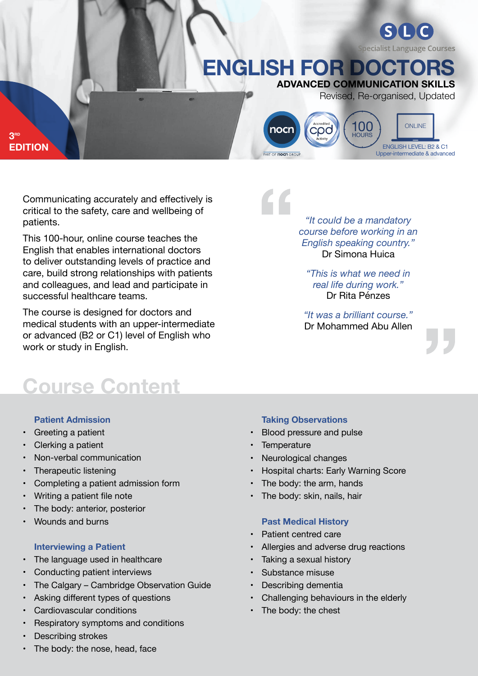# **ADVANCED COMMUNICATION SKILLS English for doctors**

nocr

PART OF **noch** GROUP

Revised, Re-organised, Updated

**ONLINE** 

**Specialist Language Courses** 

ENGLISH LEVEL: B2 & C1 Upper-intermediate & advanced

**3rd Edition**

> Communicating accurately and effectively is critical to the safety, care and wellbeing of patients.

> This 100-hour, online course teaches the English that enables international doctors to deliver outstanding levels of practice and care, build strong relationships with patients and colleagues, and lead and participate in successful healthcare teams.

The course is designed for doctors and medical students with an upper-intermediate or advanced (B2 or C1) level of English who work or study in English.

**Course Content**

#### **Patient Admission**

- Greeting a patient
- Clerking a patient
- Non-verbal communication
- Therapeutic listening
- Completing a patient admission form
- Writing a patient file note
- The body: anterior, posterior
- Wounds and burns

#### **Interviewing a Patient**

- The language used in healthcare
- Conducting patient interviews
- The Calgary Cambridge Observation Guide
- Asking different types of questions
- Cardiovascular conditions
- Respiratory symptoms and conditions
- Describing strokes

### The body: the nose, head, face

#### **Taking Observations**

- Blood pressure and pulse
- Temperature
- Neurological changes
- Hospital charts: Early Warning Score
- The body: the arm, hands
- The body: skin, nails, hair

#### **Past Medical History**

- Patient centred care
- Allergies and adverse drug reactions
- Taking a sexual history
- Substance misuse
- Describing dementia
- Challenging behaviours in the elderly
- The body: the chest

*"It could be a mandatory course before working in an English speaking country."*  Dr Simona Huica

*"This is what we need in real life during work."* Dr Rita Pénzes

*"It was a brilliant course."* Dr Mohammed Abu Allen



100

**COO HOUR**